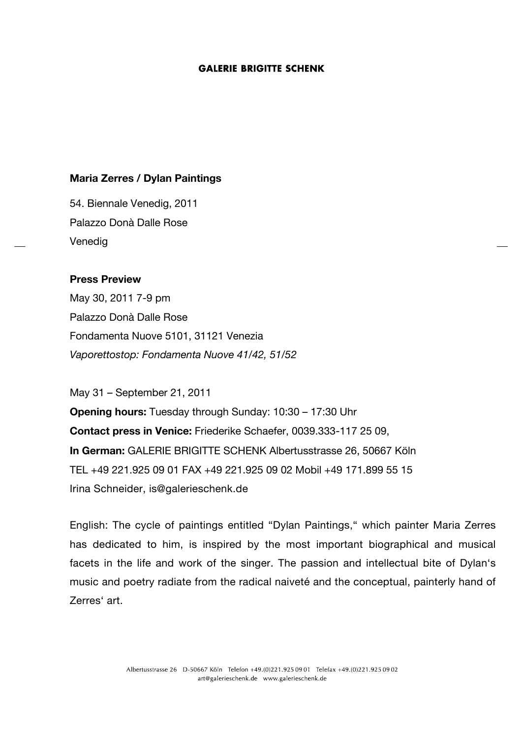## **Maria Zerres / Dylan Paintings**

54. Biennale Venedig, 2011 Palazzo Donà Dalle Rose Venedig

# **Press Preview**

May 30, 2011 7-9 pm Palazzo Donà Dalle Rose Fondamenta Nuove 5101, 31121 Venezia *Vaporettostop: Fondamenta Nuove 41/42, 51/52* 

May 31 – September 21, 2011

**Opening hours:** Tuesday through Sunday: 10:30 – 17:30 Uhr **Contact press in Venice:** Friederike Schaefer, 0039.333-117 25 09, **In German:** GALERIE BRIGITTE SCHENK Albertusstrasse 26, 50667 Köln TEL +49 221.925 09 01 FAX +49 221.925 09 02 Mobil +49 171.899 55 15 Irina Schneider, is@galerieschenk.de

English: The cycle of paintings entitled "Dylan Paintings," which painter Maria Zerres has dedicated to him, is inspired by the most important biographical and musical facets in the life and work of the singer. The passion and intellectual bite of Dylan's music and poetry radiate from the radical naiveté and the conceptual, painterly hand of Zerres' art.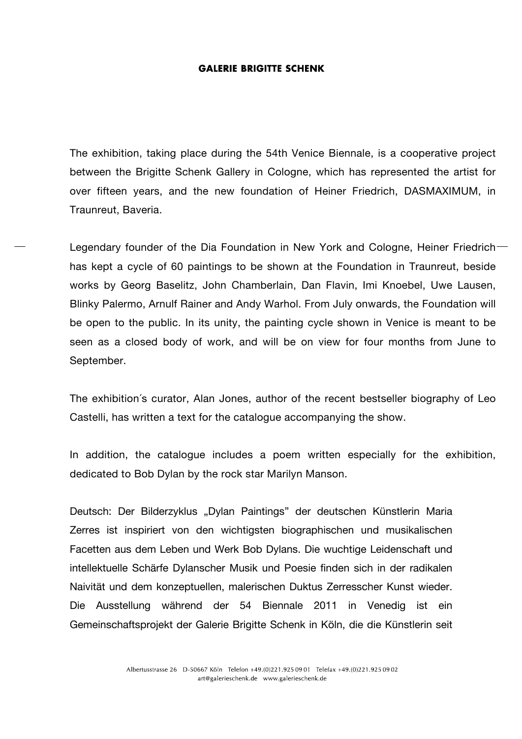The exhibition, taking place during the 54th Venice Biennale, is a cooperative project between the Brigitte Schenk Gallery in Cologne, which has represented the artist for over fifteen years, and the new foundation of Heiner Friedrich, DASMAXIMUM, in Traunreut, Baveria.

Legendary founder of the Dia Foundation in New York and Cologne, Heiner Friedrichhas kept a cycle of 60 paintings to be shown at the Foundation in Traunreut, beside works by Georg Baselitz, John Chamberlain, Dan Flavin, Imi Knoebel, Uwe Lausen, Blinky Palermo, Arnulf Rainer and Andy Warhol. From July onwards, the Foundation will be open to the public. In its unity, the painting cycle shown in Venice is meant to be seen as a closed body of work, and will be on view for four months from June to September.

The exhibition´s curator, Alan Jones, author of the recent bestseller biography of Leo Castelli, has written a text for the catalogue accompanying the show.

In addition, the catalogue includes a poem written especially for the exhibition, dedicated to Bob Dylan by the rock star Marilyn Manson.

Deutsch: Der Bilderzyklus "Dylan Paintings" der deutschen Künstlerin Maria Zerres ist inspiriert von den wichtigsten biographischen und musikalischen Facetten aus dem Leben und Werk Bob Dylans. Die wuchtige Leidenschaft und intellektuelle Schärfe Dylanscher Musik und Poesie finden sich in der radikalen Naivität und dem konzeptuellen, malerischen Duktus Zerresscher Kunst wieder. Die Ausstellung während der 54 Biennale 2011 in Venedig ist ein Gemeinschaftsprojekt der Galerie Brigitte Schenk in Köln, die die Künstlerin seit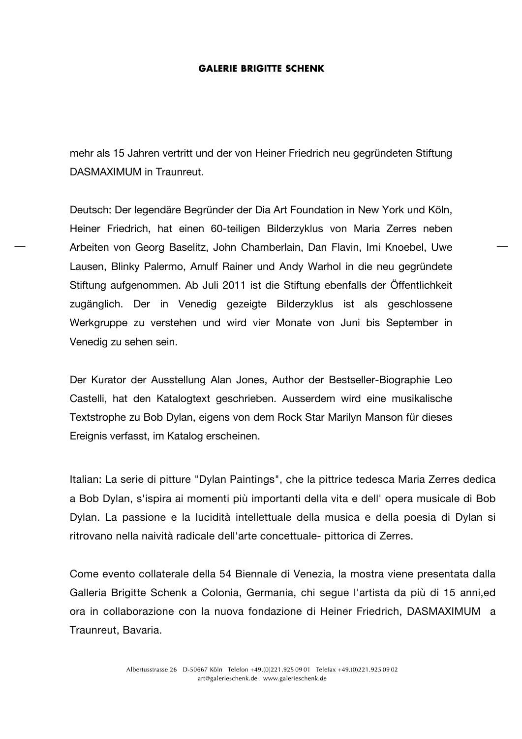mehr als 15 Jahren vertritt und der von Heiner Friedrich neu gegründeten Stiftung DASMAXIMUM in Traunreut.

Deutsch: Der legendäre Begründer der Dia Art Foundation in New York und Köln, Heiner Friedrich, hat einen 60-teiligen Bilderzyklus von Maria Zerres neben Arbeiten von Georg Baselitz, John Chamberlain, Dan Flavin, Imi Knoebel, Uwe Lausen, Blinky Palermo, Arnulf Rainer und Andy Warhol in die neu gegründete Stiftung aufgenommen. Ab Juli 2011 ist die Stiftung ebenfalls der Öffentlichkeit zugänglich. Der in Venedig gezeigte Bilderzyklus ist als geschlossene Werkgruppe zu verstehen und wird vier Monate von Juni bis September in Venedig zu sehen sein.

Der Kurator der Ausstellung Alan Jones, Author der Bestseller-Biographie Leo Castelli, hat den Katalogtext geschrieben. Ausserdem wird eine musikalische Textstrophe zu Bob Dylan, eigens von dem Rock Star Marilyn Manson für dieses Ereignis verfasst, im Katalog erscheinen.

Italian: La serie di pitture "Dylan Paintings", che la pittrice tedesca Maria Zerres dedica a Bob Dylan, s'ispira ai momenti più importanti della vita e dell' opera musicale di Bob Dylan. La passione e la lucidità intellettuale della musica e della poesia di Dylan si ritrovano nella naività radicale dell'arte concettuale- pittorica di Zerres.

Come evento collaterale della 54 Biennale di Venezia, la mostra viene presentata dalla Galleria Brigitte Schenk a Colonia, Germania, chi segue l'artista da più di 15 anni,ed ora in collaborazione con la nuova fondazione di Heiner Friedrich, DASMAXIMUM a Traunreut, Bavaria.